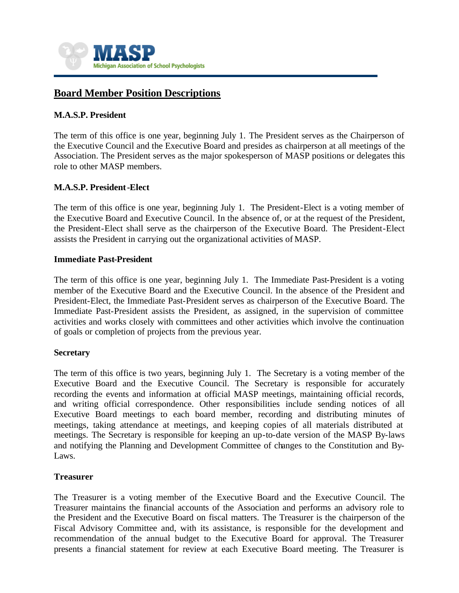

# **Board Member Position Descriptions**

### **M.A.S.P. President**

The term of this office is one year, beginning July 1. The President serves as the Chairperson of the Executive Council and the Executive Board and presides as chairperson at all meetings of the Association. The President serves as the major spokesperson of MASP positions or delegates this role to other MASP members.

#### **M.A.S.P. President-Elect**

The term of this office is one year, beginning July 1. The President-Elect is a voting member of the Executive Board and Executive Council. In the absence of, or at the request of the President, the President-Elect shall serve as the chairperson of the Executive Board. The President-Elect assists the President in carrying out the organizational activities of MASP.

#### **Immediate Past-President**

The term of this office is one year, beginning July 1. The Immediate Past-President is a voting member of the Executive Board and the Executive Council. In the absence of the President and President-Elect, the Immediate Past-President serves as chairperson of the Executive Board. The Immediate Past-President assists the President, as assigned, in the supervision of committee activities and works closely with committees and other activities which involve the continuation of goals or completion of projects from the previous year.

#### **Secretary**

The term of this office is two years, beginning July 1. The Secretary is a voting member of the Executive Board and the Executive Council. The Secretary is responsible for accurately recording the events and information at official MASP meetings, maintaining official records, and writing official correspondence. Other responsibilities include sending notices of all Executive Board meetings to each board member, recording and distributing minutes of meetings, taking attendance at meetings, and keeping copies of all materials distributed at meetings. The Secretary is responsible for keeping an up-to-date version of the MASP By-laws and notifying the Planning and Development Committee of changes to the Constitution and By-Laws.

#### **Treasurer**

The Treasurer is a voting member of the Executive Board and the Executive Council. The Treasurer maintains the financial accounts of the Association and performs an advisory role to the President and the Executive Board on fiscal matters. The Treasurer is the chairperson of the Fiscal Advisory Committee and, with its assistance, is responsible for the development and recommendation of the annual budget to the Executive Board for approval. The Treasurer presents a financial statement for review at each Executive Board meeting. The Treasurer is